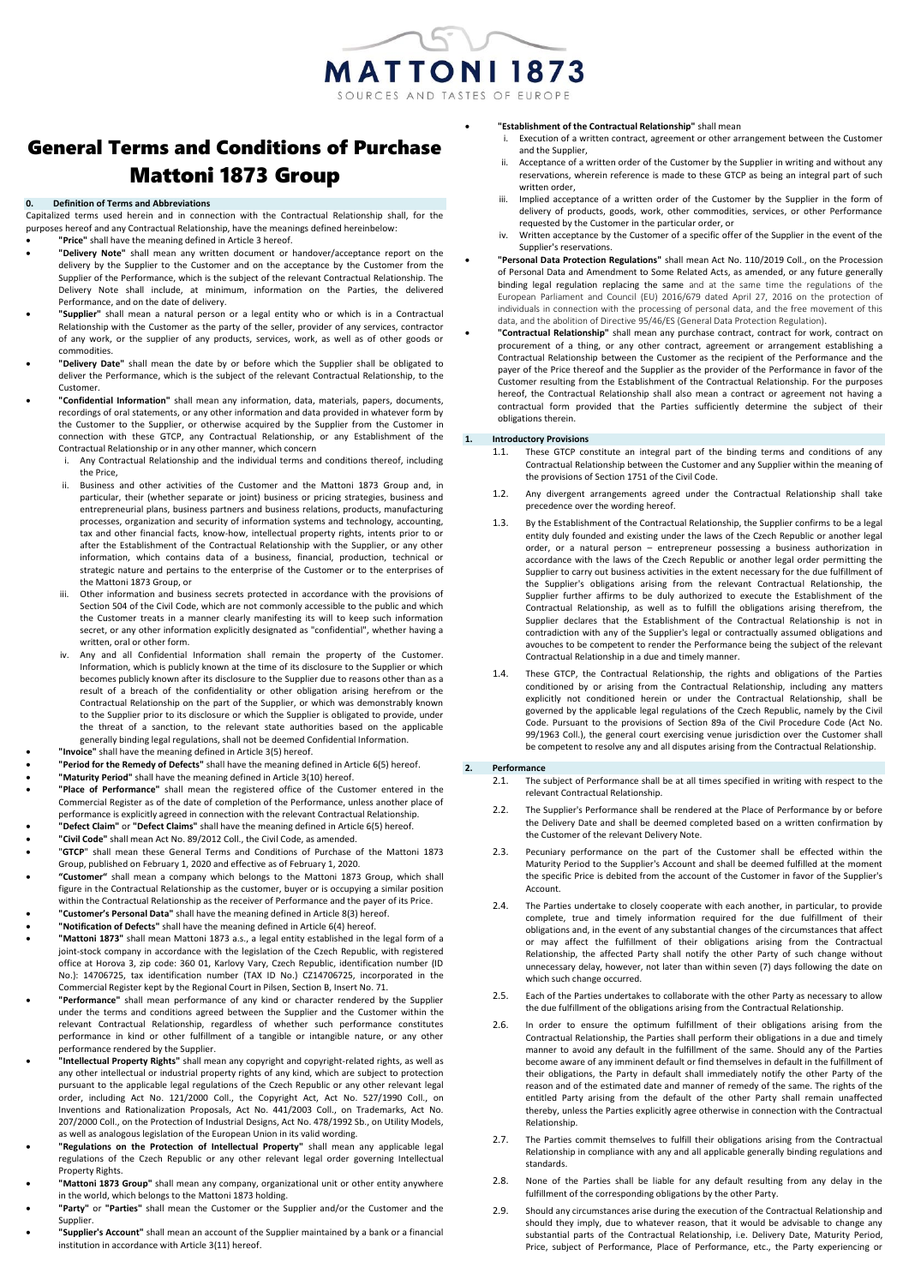

# General Terms and Conditions of Purchase Mattoni 1873 Group

#### **0. Definition of Terms and Abbreviations**

Capitalized terms used herein and in connection with the Contractual Relationship shall, for the purposes hereof and any Contractual Relationship, have the meanings defined hereinbelow:

- **"Price"** shall have the meaning defined in Article 3 hereof.
- **"Delivery Note"** shall mean any written document or handover/acceptance report on the delivery by the Supplier to the Customer and on the acceptance by the Customer from the Supplier of the Performance, which is the subject of the relevant Contractual Relationship. The Delivery Note shall include, at minimum, information on the Parties, the delivered Performance, and on the date of delivery.
- **"Supplier"** shall mean a natural person or a legal entity who or which is in a Contractual Relationship with the Customer as the party of the seller, provider of any services, contractor of any work, or the supplier of any products, services, work, as well as of other goods or commodities.
- **"Delivery Date"** shall mean the date by or before which the Supplier shall be obligated to deliver the Performance, which is the subject of the relevant Contractual Relationship, to the Customer.
- **"Confidential Information"** shall mean any information, data, materials, papers, documents, recordings of oral statements, or any other information and data provided in whatever form by the Customer to the Supplier, or otherwise acquired by the Supplier from the Customer in connection with these GTCP, any Contractual Relationship, or any Establishment of the Contractual Relationship or in any other manner, which concern
	- Any Contractual Relationship and the individual terms and conditions thereof, including the Price,
	- ii. Business and other activities of the Customer and the Mattoni 1873 Group and, in particular, their (whether separate or joint) business or pricing strategies, business and entrepreneurial plans, business partners and business relations, products, manufacturing processes, organization and security of information systems and technology, accounting, tax and other financial facts, know-how, intellectual property rights, intents prior to or after the Establishment of the Contractual Relationship with the Supplier, or any other information, which contains data of a business, financial, production, technical or strategic nature and pertains to the enterprise of the Customer or to the enterprises of the Mattoni 1873 Group, or
	- iii. Other information and business secrets protected in accordance with the provisions of Section 504 of the Civil Code, which are not commonly accessible to the public and which the Customer treats in a manner clearly manifesting its will to keep such information secret, or any other information explicitly designated as "confidential", whether having a written, oral or other form.
	- Any and all Confidential Information shall remain the property of the Customer. Information, which is publicly known at the time of its disclosure to the Supplier or which becomes publicly known after its disclosure to the Supplier due to reasons other than as a result of a breach of the confidentiality or other obligation arising herefrom or the Contractual Relationship on the part of the Supplier, or which was demonstrably known to the Supplier prior to its disclosure or which the Supplier is obligated to provide, under the threat of a sanction, to the relevant state authorities based on the applicable generally binding legal regulations, shall not be deemed Confidential Information.
- **"Invoice"** shall have the meaning defined in Article 3(5) hereof.
- **"Period for the Remedy of Defects"** shall have the meaning defined in Article 6(5) hereof.
- **"Maturity Period"** shall have the meaning defined in Article 3(10) hereof. • **"Place of Performance"** shall mean the registered office of the Customer entered in the
- Commercial Register as of the date of completion of the Performance, unless another place of performance is explicitly agreed in connection with the relevant Contractual Relationship. • **"Defect Claim"** or **"Defect Claims"** shall have the meaning defined in Article 6(5) hereof.
- **"Civil Code"** shall mean Act No. 89/2012 Coll., the Civil Code, as amended.
- "**GTCP**" shall mean these General Terms and Conditions of Purchase of the Mattoni 1873 Group, published on February 1, 2020 and effective as of February 1, 2020.
- **"Customer"** shall mean a company which belongs to the Mattoni 1873 Group, which shall figure in the Contractual Relationship as the customer, buyer or is occupying a similar position within the Contractual Relationship as the receiver of Performance and the payer of its Price.
- **"Customer's Personal Data"** shall have the meaning defined in Article 8(3) hereof.
- **"Notification of Defects"** shall have the meaning defined in Article 6(4) hereof.
- **"Mattoni 1873"** shall mean Mattoni 1873 a.s., a legal entity established in the legal form of a joint-stock company in accordance with the legislation of the Czech Republic, with registered office at Horova 3, zip code: 360 01, Karlovy Vary, Czech Republic, identification number (ID No.): 14706725, tax identification number (TAX ID No.) CZ14706725, incorporated in the Commercial Register kept by the Regional Court in Pilsen, Section B, Insert No. 71.
- **"Performance"** shall mean performance of any kind or character rendered by the Supplier under the terms and conditions agreed between the Supplier and the Customer within the relevant Contractual Relationship, regardless of whether such performance constitutes performance in kind or other fulfillment of a tangible or intangible nature, or any other performance rendered by the Supplier.
- **"Intellectual Property Rights"** shall mean any copyright and copyright-related rights, as well as any other intellectual or industrial property rights of any kind, which are subject to protection pursuant to the applicable legal regulations of the Czech Republic or any other relevant legal order, including Act No. 121/2000 Coll., the Copyright Act, Act No. 527/1990 Coll., on Inventions and Rationalization Proposals, Act No. 441/2003 Coll., on Trademarks, Act No. 207/2000 Coll., on the Protection of Industrial Designs, Act No. 478/1992 Sb., on Utility Models, as well as analogous legislation of the European Union in its valid wording.
- **"Regulations on the Protection of Intellectual Property"** shall mean any applicable legal regulations of the Czech Republic or any other relevant legal order governing Intellectual Property Rights.
- **"Mattoni 1873 Group"** shall mean any company, organizational unit or other entity anywhere in the world, which belongs to the Mattoni 1873 holding.
- **"Party"** or **"Parties"** shall mean the Customer or the Supplier and/or the Customer and the Supplier.
- **"Supplier's Account"** shall mean an account of the Supplier maintained by a bank or a financial institution in accordance with Article 3(11) hereof.
- **"Establishment of the Contractual Relationship"** shall mean
	- i. Execution of a written contract, agreement or other arrangement between the Customer and the Supplier,
	- ii. Acceptance of a written order of the Customer by the Supplier in writing and without any reservations, wherein reference is made to these GTCP as being an integral part of such written order
	- iii. Implied acceptance of a written order of the Customer by the Supplier in the form of delivery of products, goods, work, other commodities, services, or other Performance requested by the Customer in the particular order, or
	- iv. Written acceptance by the Customer of a specific offer of the Supplier in the event of the Supplier's reservations.
- **"Personal Data Protection Regulations"** shall mean Act No. 110/2019 Coll., on the Procession of Personal Data and Amendment to Some Related Acts, as amended, or any future generally binding legal regulation replacing the same and at the same time the regulations of the European Parliament and Council (EU) 2016/679 dated April 27, 2016 on the protection of individuals in connection with the processing of personal data, and the free movement of this data, and the abolition of Directive 95/46/ES (General Data Protection Regulation).
- **"Contractual Relationship"** shall mean any purchase contract, contract for work, contract on procurement of a thing, or any other contract, agreement or arrangement establishing a Contractual Relationship between the Customer as the recipient of the Performance and the payer of the Price thereof and the Supplier as the provider of the Performance in favor of the Customer resulting from the Establishment of the Contractual Relationship. For the purposes hereof, the Contractual Relationship shall also mean a contract or agreement not having a contractual form provided that the Parties sufficiently determine the subject of their obligations therein.

## **1. Introductory Provisions**

- 1.1. These GTCP constitute an integral part of the binding terms and conditions of any Contractual Relationship between the Customer and any Supplier within the meaning of the provisions of Section 1751 of the Civil Code.
- 1.2. Any divergent arrangements agreed under the Contractual Relationship shall take precedence over the wording hereof.
- 1.3. By the Establishment of the Contractual Relationship, the Supplier confirms to be a legal entity duly founded and existing under the laws of the Czech Republic or another legal order, or a natural person – entrepreneur possessing a business authorization in accordance with the laws of the Czech Republic or another legal order permitting the Supplier to carry out business activities in the extent necessary for the due fulfillment of the Supplier's obligations arising from the relevant Contractual Relationship, the Supplier further affirms to be duly authorized to execute the Establishment of the Contractual Relationship, as well as to fulfill the obligations arising therefrom, the Supplier declares that the Establishment of the Contractual Relationship is not in contradiction with any of the Supplier's legal or contractually assumed obligations and avouches to be competent to render the Performance being the subject of the relevant Contractual Relationship in a due and timely manner.
- 1.4. These GTCP, the Contractual Relationship, the rights and obligations of the Parties conditioned by or arising from the Contractual Relationship, including any matters explicitly not conditioned herein or under the Contractual Relationship, shall be governed by the applicable legal regulations of the Czech Republic, namely by the Civil Code. Pursuant to the provisions of Section 89a of the Civil Procedure Code (Act No. 99/1963 Coll.), the general court exercising venue jurisdiction over the Customer shall be competent to resolve any and all disputes arising from the Contractual Relationship.

#### **2. Performance**

- 2.1. The subject of Performance shall be at all times specified in writing with respect to the relevant Contractual Relationship.
- 2.2. The Supplier's Performance shall be rendered at the Place of Performance by or before the Delivery Date and shall be deemed completed based on a written confirmation by the Customer of the relevant Delivery Note.
- 2.3. Pecuniary performance on the part of the Customer shall be effected within the Maturity Period to the Supplier's Account and shall be deemed fulfilled at the moment the specific Price is debited from the account of the Customer in favor of the Supplier's Account.
- 2.4. The Parties undertake to closely cooperate with each another, in particular, to provide complete, true and timely information required for the due fulfillment of their obligations and, in the event of any substantial changes of the circumstances that affect or may affect the fulfillment of their obligations arising from the Contractual Relationship, the affected Party shall notify the other Party of such change without unnecessary delay, however, not later than within seven (7) days following the date on which such change occurred.
- 2.5. Each of the Parties undertakes to collaborate with the other Party as necessary to allow the due fulfillment of the obligations arising from the Contractual Relationship.
- 2.6. In order to ensure the optimum fulfillment of their obligations arising from the Contractual Relationship, the Parties shall perform their obligations in a due and timely manner to avoid any default in the fulfillment of the same. Should any of the Parties become aware of any imminent default or find themselves in default in the fulfillment of their obligations, the Party in default shall immediately notify the other Party of the reason and of the estimated date and manner of remedy of the same. The rights of the entitled Party arising from the default of the other Party shall remain unaffected thereby, unless the Parties explicitly agree otherwise in connection with the Contractual Relationship.
- 2.7. The Parties commit themselves to fulfill their obligations arising from the Contractual Relationship in compliance with any and all applicable generally binding regulations and standards.
- 2.8. None of the Parties shall be liable for any default resulting from any delay in the fulfillment of the corresponding obligations by the other Party.
- 2.9. Should any circumstances arise during the execution of the Contractual Relationship and should they imply, due to whatever reason, that it would be advisable to change any substantial parts of the Contractual Relationship, i.e. Delivery Date, Maturity Period, Price, subject of Performance, Place of Performance, etc., the Party experiencing or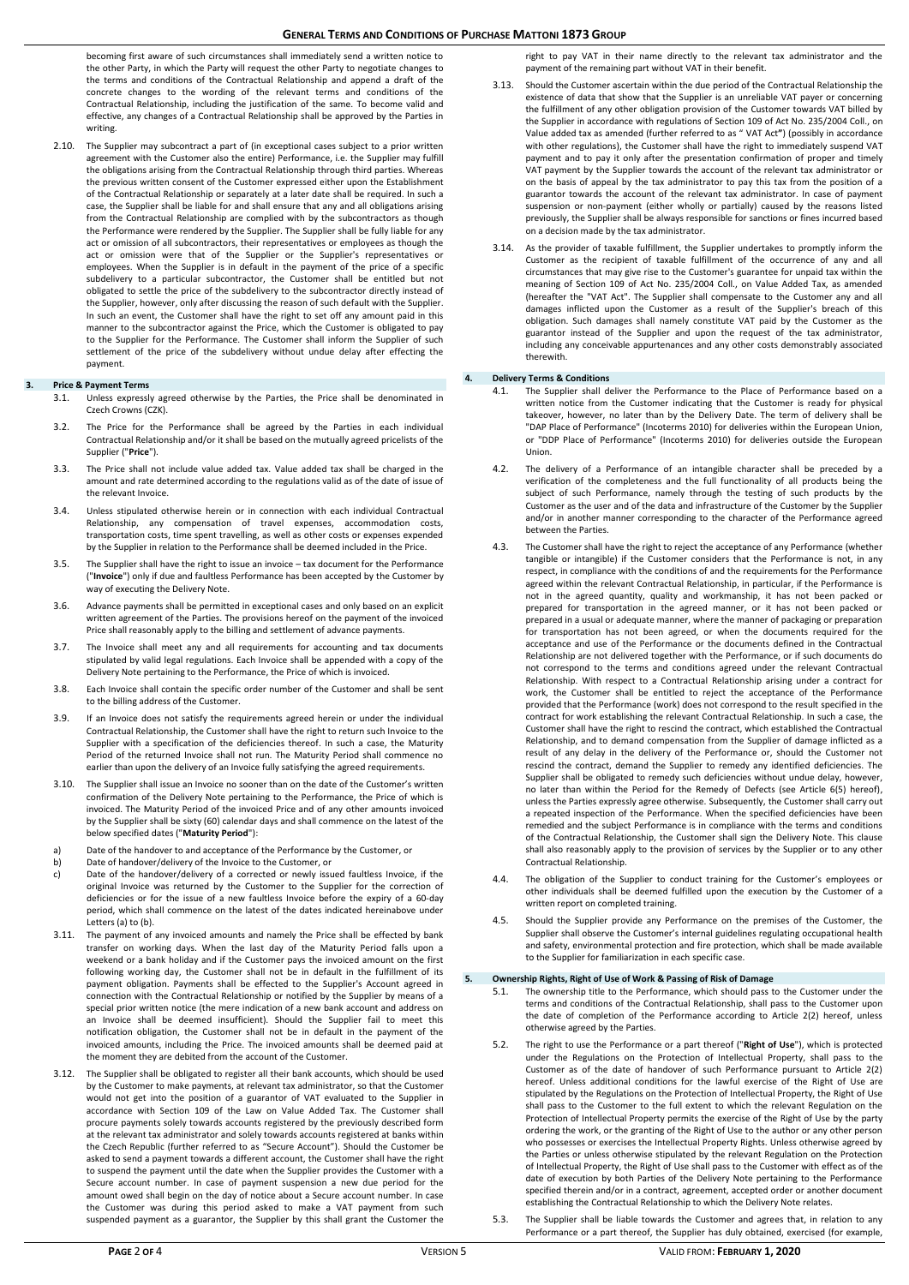becoming first aware of such circumstances shall immediately send a written notice to the other Party, in which the Party will request the other Party to negotiate changes to the terms and conditions of the Contractual Relationship and append a draft of the concrete changes to the wording of the relevant terms and conditions of the Contractual Relationship, including the justification of the same. To become valid and effective, any changes of a Contractual Relationship shall be approved by the Parties in writing.

2.10. The Supplier may subcontract a part of (in exceptional cases subject to a prior written agreement with the Customer also the entire) Performance, i.e. the Supplier may fulfill the obligations arising from the Contractual Relationship through third parties. Whereas the previous written consent of the Customer expressed either upon the Establishment of the Contractual Relationship or separately at a later date shall be required. In such a case, the Supplier shall be liable for and shall ensure that any and all obligations arising from the Contractual Relationship are complied with by the subcontractors as though the Performance were rendered by the Supplier. The Supplier shall be fully liable for any act or omission of all subcontractors, their representatives or employees as though the act or omission were that of the Supplier or the Supplier's representatives or employees. When the Supplier is in default in the payment of the price of a specific subdelivery to a particular subcontractor, the Customer shall be entitled but not obligated to settle the price of the subdelivery to the subcontractor directly instead of the Supplier, however, only after discussing the reason of such default with the Supplier. In such an event, the Customer shall have the right to set off any amount paid in this manner to the subcontractor against the Price, which the Customer is obligated to pay to the Supplier for the Performance. The Customer shall inform the Supplier of such settlement of the price of the subdelivery without undue delay after effecting the payment.

## **3. Price & Payment Terms**

- 3.1. Unless expressly agreed otherwise by the Parties, the Price shall be denominated in Czech Crowns (CZK).
- 3.2. The Price for the Performance shall be agreed by the Parties in each individual Contractual Relationship and/or it shall be based on the mutually agreed pricelists of the Supplier ("**Price**").
- 3.3. The Price shall not include value added tax. Value added tax shall be charged in the amount and rate determined according to the regulations valid as of the date of issue of the relevant Invoice.
- 3.4. Unless stipulated otherwise herein or in connection with each individual Contractual Relationship, any compensation of travel expenses, accommodation costs, transportation costs, time spent travelling, as well as other costs or expenses expended by the Supplier in relation to the Performance shall be deemed included in the Price.
- 3.5. The Supplier shall have the right to issue an invoice tax document for the Performance ("**Invoice**") only if due and faultless Performance has been accepted by the Customer by way of executing the Delivery Note.
- 3.6. Advance payments shall be permitted in exceptional cases and only based on an explicit written agreement of the Parties. The provisions hereof on the payment of the invoiced Price shall reasonably apply to the billing and settlement of advance payments.
- 3.7. The Invoice shall meet any and all requirements for accounting and tax documents stipulated by valid legal regulations. Each Invoice shall be appended with a copy of the Delivery Note pertaining to the Performance, the Price of which is invoiced.
- 3.8. Each Invoice shall contain the specific order number of the Customer and shall be sent to the billing address of the Customer.
- 3.9. If an Invoice does not satisfy the requirements agreed herein or under the individual Contractual Relationship, the Customer shall have the right to return such Invoice to the Supplier with a specification of the deficiencies thereof. In such a case, the Maturity Period of the returned Invoice shall not run. The Maturity Period shall commence no earlier than upon the delivery of an Invoice fully satisfying the agreed requirements.
- 3.10. The Supplier shall issue an Invoice no sooner than on the date of the Customer's written confirmation of the Delivery Note pertaining to the Performance, the Price of which is invoiced. The Maturity Period of the invoiced Price and of any other amounts invoiced by the Supplier shall be sixty (60) calendar days and shall commence on the latest of the below specified dates ("**Maturity Period**"):
- a) Date of the handover to and acceptance of the Performance by the Customer, or<br>b) Date of handover/delivery of the Invoice to the Customer, or
- Date of handover/delivery of the Invoice to the Customer, or c) Date of the handover/delivery of a corrected or newly issued faultless Invoice, if the original Invoice was returned by the Customer to the Supplier for the correction of deficiencies or for the issue of a new faultless Invoice before the expiry of a 60-day
- period, which shall commence on the latest of the dates indicated hereinabove under Letters (a) to (b). 3.11. The payment of any invoiced amounts and namely the Price shall be effected by bank transfer on working days. When the last day of the Maturity Period falls upon a
- weekend or a bank holiday and if the Customer pays the invoiced amount on the first following working day, the Customer shall not be in default in the fulfillment of its payment obligation. Payments shall be effected to the Supplier's Account agreed in connection with the Contractual Relationship or notified by the Supplier by means of a special prior written notice (the mere indication of a new bank account and address on an Invoice shall be deemed insufficient). Should the Supplier fail to meet this notification obligation, the Customer shall not be in default in the payment of the invoiced amounts, including the Price. The invoiced amounts shall be deemed paid at the moment they are debited from the account of the Customer.
- 3.12. The Supplier shall be obligated to register all their bank accounts, which should be used by the Customer to make payments, at relevant tax administrator, so that the Customer would not get into the position of a guarantor of VAT evaluated to the Supplier in accordance with Section 109 of the Law on Value Added Tax. The Customer shall procure payments solely towards accounts registered by the previously described form at the relevant tax administrator and solely towards accounts registered at banks within the Czech Republic (further referred to as "Secure Account"). Should the Customer be asked to send a payment towards a different account, the Customer shall have the right to suspend the payment until the date when the Supplier provides the Customer with a Secure account number. In case of payment suspension a new due period for the amount owed shall begin on the day of notice about a Secure account number. In case the Customer was during this period asked to make a VAT payment from such suspended payment as a guarantor, the Supplier by this shall grant the Customer the

right to pay VAT in their name directly to the relevant tax administrator and the payment of the remaining part without VAT in their benefit.

- 3.13. Should the Customer ascertain within the due period of the Contractual Relationship the existence of data that show that the Supplier is an unreliable VAT payer or concerning the fulfillment of any other obligation provision of the Customer towards VAT billed by the Supplier in accordance with regulations of Section 109 of Act No. 235/2004 Coll., on Value added tax as amended (further referred to as " VAT Act**"**) (possibly in accordance with other regulations), the Customer shall have the right to immediately suspend VAT payment and to pay it only after the presentation confirmation of proper and timely VAT payment by the Supplier towards the account of the relevant tax administrator or on the basis of appeal by the tax administrator to pay this tax from the position of a guarantor towards the account of the relevant tax administrator. In case of payment suspension or non-payment (either wholly or partially) caused by the reasons listed previously, the Supplier shall be always responsible for sanctions or fines incurred based on a decision made by the tax administrator.
- As the provider of taxable fulfillment, the Supplier undertakes to promptly inform the Customer as the recipient of taxable fulfillment of the occurrence of any and all circumstances that may give rise to the Customer's guarantee for unpaid tax within the meaning of Section 109 of Act No. 235/2004 Coll., on Value Added Tax, as amended (hereafter the "VAT Act". The Supplier shall compensate to the Customer any and all damages inflicted upon the Customer as a result of the Supplier's breach of this obligation. Such damages shall namely constitute VAT paid by the Customer as the guarantor instead of the Supplier and upon the request of the tax administrator, including any conceivable appurtenances and any other costs demonstrably associated therewith.

## **4. Delivery Terms & Conditions**

- 4.1. The Supplier shall deliver the Performance to the Place of Performance based on a written notice from the Customer indicating that the Customer is ready for physical takeover, however, no later than by the Delivery Date. The term of delivery shall be "DAP Place of Performance" (Incoterms 2010) for deliveries within the European Union, or "DDP Place of Performance" (Incoterms 2010) for deliveries outside the European Union.
- 4.2. The delivery of a Performance of an intangible character shall be preceded by a verification of the completeness and the full functionality of all products being the subject of such Performance, namely through the testing of such products by the Customer as the user and of the data and infrastructure of the Customer by the Supplier and/or in another manner corresponding to the character of the Performance agreed between the Parties.
- 4.3. The Customer shall have the right to reject the acceptance of any Performance (whether tangible or intangible) if the Customer considers that the Performance is not, in any respect, in compliance with the conditions of and the requirements for the Performance agreed within the relevant Contractual Relationship, in particular, if the Performance is not in the agreed quantity, quality and workmanship, it has not been packed or prepared for transportation in the agreed manner, or it has not been packed or prepared in a usual or adequate manner, where the manner of packaging or preparation for transportation has not been agreed, or when the documents required for the acceptance and use of the Performance or the documents defined in the Contractual Relationship are not delivered together with the Performance, or if such documents do not correspond to the terms and conditions agreed under the relevant Contractual Relationship. With respect to a Contractual Relationship arising under a contract for work, the Customer shall be entitled to reject the acceptance of the Performance provided that the Performance (work) does not correspond to the result specified in the contract for work establishing the relevant Contractual Relationship. In such a case, the Customer shall have the right to rescind the contract, which established the Contractual Relationship, and to demand compensation from the Supplier of damage inflicted as a result of any delay in the delivery of the Performance or, should the Customer not rescind the contract, demand the Supplier to remedy any identified deficiencies. The Supplier shall be obligated to remedy such deficiencies without undue delay, however, no later than within the Period for the Remedy of Defects (see Article 6(5) hereof), unless the Parties expressly agree otherwise. Subsequently, the Customer shall carry out a repeated inspection of the Performance. When the specified deficiencies have been remedied and the subject Performance is in compliance with the terms and conditions of the Contractual Relationship, the Customer shall sign the Delivery Note. This clause shall also reasonably apply to the provision of services by the Supplier or to any other Contractual Relationship.
- 4.4. The obligation of the Supplier to conduct training for the Customer's employees or other individuals shall be deemed fulfilled upon the execution by the Customer of a written report on completed training.
- 4.5. Should the Supplier provide any Performance on the premises of the Customer, the Supplier shall observe the Customer's internal guidelines regulating occupational health and safety, environmental protection and fire protection, which shall be made available to the Supplier for familiarization in each specific case.

## **5. Ownership Rights, Right of Use of Work & Passing of Risk of Damage**

- 5.1. The ownership title to the Performance, which should pass to the Customer under the terms and conditions of the Contractual Relationship, shall pass to the Customer upon the date of completion of the Performance according to Article 2(2) hereof, unless otherwise agreed by the Parties.
- 5.2. The right to use the Performance or a part thereof ("**Right of Use**"), which is protected under the Regulations on the Protection of Intellectual Property, shall pass to the Customer as of the date of handover of such Performance pursuant to Article 2(2) hereof. Unless additional conditions for the lawful exercise of the Right of Use are stipulated by the Regulations on the Protection of Intellectual Property, the Right of Use shall pass to the Customer to the full extent to which the relevant Regulation on the Protection of Intellectual Property permits the exercise of the Right of Use by the party ordering the work, or the granting of the Right of Use to the author or any other person who possesses or exercises the Intellectual Property Rights. Unless otherwise agreed by the Parties or unless otherwise stipulated by the relevant Regulation on the Protection of Intellectual Property, the Right of Use shall pass to the Customer with effect as of the date of execution by both Parties of the Delivery Note pertaining to the Performance specified therein and/or in a contract, agreement, accepted order or another document establishing the Contractual Relationship to which the Delivery Note relates.
- 5.3. The Supplier shall be liable towards the Customer and agrees that, in relation to any Performance or a part thereof, the Supplier has duly obtained, exercised (for example,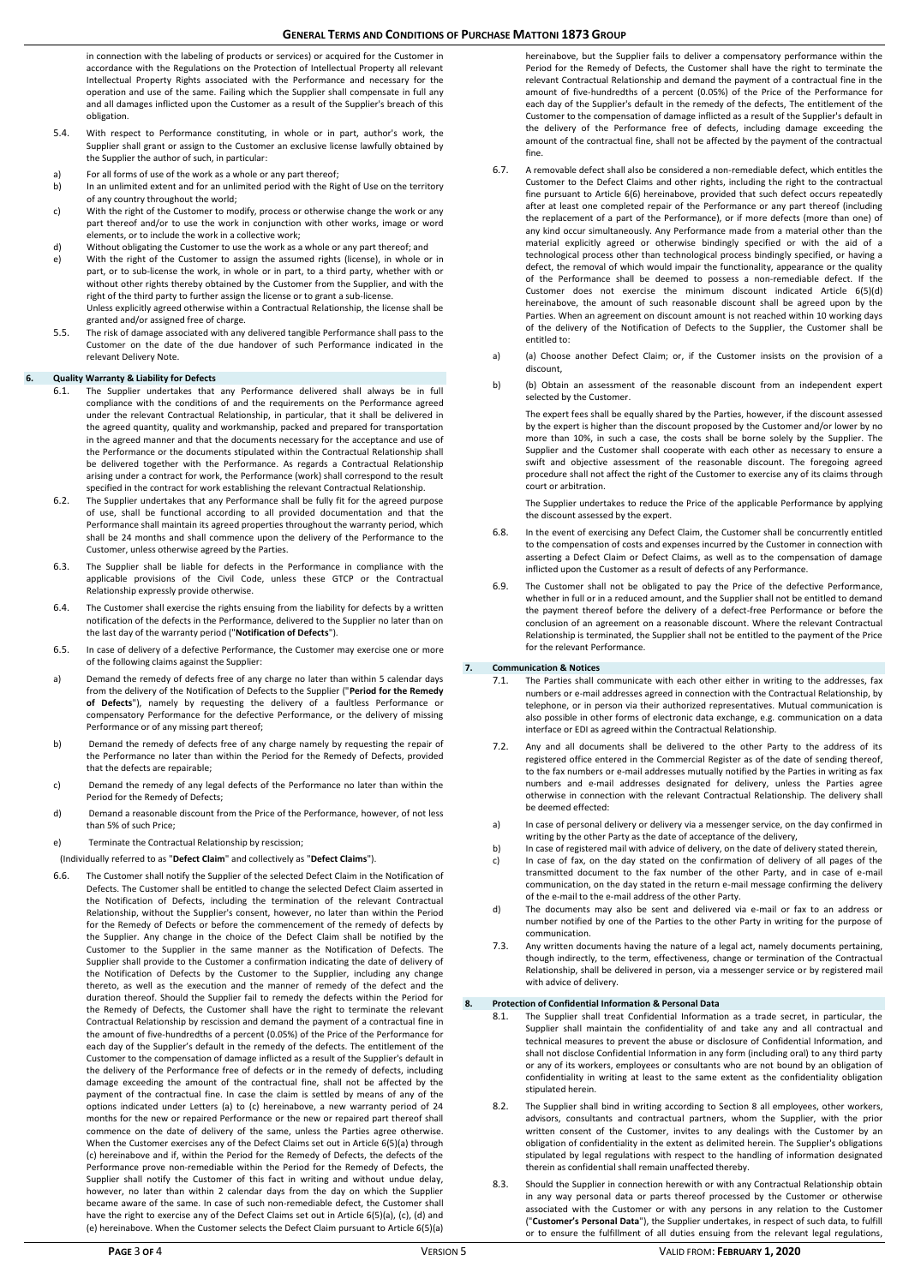in connection with the labeling of products or services) or acquired for the Customer in accordance with the Regulations on the Protection of Intellectual Property all relevant Intellectual Property Rights associated with the Performance and necessary for the operation and use of the same. Failing which the Supplier shall compensate in full any and all damages inflicted upon the Customer as a result of the Supplier's breach of this obligation.

- 5.4. With respect to Performance constituting, in whole or in part, author's work, the Supplier shall grant or assign to the Customer an exclusive license lawfully obtained by the Supplier the author of such, in particular:
- For all forms of use of the work as a whole or any part thereof;
- b) In an unlimited extent and for an unlimited period with the Right of Use on the territory of any country throughout the world;
- c) With the right of the Customer to modify, process or otherwise change the work or any part thereof and/or to use the work in conjunction with other works, image or word .<br>elements, or to include the work in a collective work;
- d) Without obligating the Customer to use the work as a whole or any part thereof; and e) With the right of the Customer to assign the assumed rights (license), in whole or in part, or to sub-license the work, in whole or in part, to a third party, whether with or without other rights thereby obtained by the Customer from the Supplier, and with the right of the third party to further assign the license or to grant a sub-license. Unless explicitly agreed otherwise within a Contractual Relationship, the license shall be
- granted and/or assigned free of charge. 5.5. The risk of damage associated with any delivered tangible Performance shall pass to the Customer on the date of the due handover of such Performance indicated in the relevant Delivery Note.

## **6. Quality Warranty & Liability for Defects**

- 6.1. The Supplier undertakes that any Performance delivered shall always be in full compliance with the conditions of and the requirements on the Performance agreed under the relevant Contractual Relationship, in particular, that it shall be delivered in the agreed quantity, quality and workmanship, packed and prepared for transportation in the agreed manner and that the documents necessary for the acceptance and use of the Performance or the documents stipulated within the Contractual Relationship shall be delivered together with the Performance. As regards a Contractual Relationship arising under a contract for work, the Performance (work) shall correspond to the result specified in the contract for work establishing the relevant Contractual Relationship.
- 6.2. The Supplier undertakes that any Performance shall be fully fit for the agreed purpose of use, shall be functional according to all provided documentation and that the Performance shall maintain its agreed properties throughout the warranty period, which shall be 24 months and shall commence upon the delivery of the Performance to the Customer, unless otherwise agreed by the Parties.
- 6.3. The Supplier shall be liable for defects in the Performance in compliance with the applicable provisions of the Civil Code, unless these GTCP or the Contractual Relationship expressly provide otherwise.
- 6.4. The Customer shall exercise the rights ensuing from the liability for defects by a written notification of the defects in the Performance, delivered to the Supplier no later than on the last day of the warranty period ("**Notification of Defects**").
- 6.5. In case of delivery of a defective Performance, the Customer may exercise one or more of the following claims against the Supplier:
- a) Demand the remedy of defects free of any charge no later than within 5 calendar days from the delivery of the Notification of Defects to the Supplier ("**Period for the Remedy of Defects**"), namely by requesting the delivery of a faultless Performance or compensatory Performance for the defective Performance, or the delivery of missing Performance or of any missing part thereof;
- b) Demand the remedy of defects free of any charge namely by requesting the repair of the Performance no later than within the Period for the Remedy of Defects, provided that the defects are repairable;
- c) Demand the remedy of any legal defects of the Performance no later than within the Period for the Remedy of Defects;
- d) Demand a reasonable discount from the Price of the Performance, however, of not less than 5% of such Price;
- e) Terminate the Contractual Relationship by rescission;
- (Individually referred to as "**Defect Claim**" and collectively as "**Defect Claims**").
- 6.6. The Customer shall notify the Supplier of the selected Defect Claim in the Notification of Defects. The Customer shall be entitled to change the selected Defect Claim asserted in the Notification of Defects, including the termination of the relevant Contractual Relationship, without the Supplier's consent, however, no later than within the Period for the Remedy of Defects or before the commencement of the remedy of defects by the Supplier. Any change in the choice of the Defect Claim shall be notified by the Customer to the Supplier in the same manner as the Notification of Defects. The Supplier shall provide to the Customer a confirmation indicating the date of delivery of the Notification of Defects by the Customer to the Supplier, including any change thereto, as well as the execution and the manner of remedy of the defect and the duration thereof. Should the Supplier fail to remedy the defects within the Period for the Remedy of Defects, the Customer shall have the right to terminate the relevant Contractual Relationship by rescission and demand the payment of a contractual fine in the amount of five-hundredths of a percent (0.05%) of the Price of the Performance for each day of the Supplier's default in the remedy of the defects. The entitlement of the Customer to the compensation of damage inflicted as a result of the Supplier's default in the delivery of the Performance free of defects or in the remedy of defects, including damage exceeding the amount of the contractual fine, shall not be affected by the payment of the contractual fine. In case the claim is settled by means of any of the options indicated under Letters (a) to (c) hereinabove, a new warranty period of 24 months for the new or repaired Performance or the new or repaired part thereof shall commence on the date of delivery of the same, unless the Parties agree otherwise. When the Customer exercises any of the Defect Claims set out in Article 6(5)(a) through (c) hereinabove and if, within the Period for the Remedy of Defects, the defects of the Performance prove non-remediable within the Period for the Remedy of Defects, the Supplier shall notify the Customer of this fact in writing and without undue delay, however, no later than within 2 calendar days from the day on which the Supplier became aware of the same. In case of such non-remediable defect, the Customer shall have the right to exercise any of the Defect Claims set out in Article 6(5)(a), (c), (d) and (e) hereinabove. When the Customer selects the Defect Claim pursuant to Article 6(5)(a)

hereinabove, but the Supplier fails to deliver a compensatory performance within the Period for the Remedy of Defects, the Customer shall have the right to terminate the relevant Contractual Relationship and demand the payment of a contractual fine in the amount of five-hundredths of a percent (0.05%) of the Price of the Performance for each day of the Supplier's default in the remedy of the defects, The entitlement of the Customer to the compensation of damage inflicted as a result of the Supplier's default in the delivery of the Performance free of defects, including damage exceeding the amount of the contractual fine, shall not be affected by the payment of the contractual fine.

- 6.7. A removable defect shall also be considered a non-remediable defect, which entitles the Customer to the Defect Claims and other rights, including the right to the contractual fine pursuant to Article 6(6) hereinabove, provided that such defect occurs repeatedly after at least one completed repair of the Performance or any part thereof (including the replacement of a part of the Performance), or if more defects (more than one) of any kind occur simultaneously. Any Performance made from a material other than the material explicitly agreed or otherwise bindingly specified or with the aid of a technological process other than technological process bindingly specified, or having a defect, the removal of which would impair the functionality, appearance or the quality of the Performance shall be deemed to possess a non-remediable defect. If the Customer does not exercise the minimum discount indicated Article 6(5)(d) hereinabove, the amount of such reasonable discount shall be agreed upon by the Parties. When an agreement on discount amount is not reached within 10 working days of the delivery of the Notification of Defects to the Supplier, the Customer shall be entitled to:
- a) (a) Choose another Defect Claim; or, if the Customer insists on the provision of a discount,
- b) (b) Obtain an assessment of the reasonable discount from an independent expert selected by the Customer.

The expert fees shall be equally shared by the Parties, however, if the discount assessed by the expert is higher than the discount proposed by the Customer and/or lower by no more than 10%, in such a case, the costs shall be borne solely by the Supplier. The Supplier and the Customer shall cooperate with each other as necessary to ensure a swift and objective assessment of the reasonable discount. The foregoing agreed procedure shall not affect the right of the Customer to exercise any of its claims through court or arbitration.

The Supplier undertakes to reduce the Price of the applicable Performance by applying the discount assessed by the expert.

- 6.8. In the event of exercising any Defect Claim, the Customer shall be concurrently entitled to the compensation of costs and expenses incurred by the Customer in connection with asserting a Defect Claim or Defect Claims, as well as to the compensation of damage inflicted upon the Customer as a result of defects of any Performance.
- 6.9. The Customer shall not be obligated to pay the Price of the defective Performance, whether in full or in a reduced amount, and the Supplier shall not be entitled to demand the payment thereof before the delivery of a defect-free Performance or before the conclusion of an agreement on a reasonable discount. Where the relevant Contractual Relationship is terminated, the Supplier shall not be entitled to the payment of the Price for the relevant Performance.

## **7. Communication & Notices**

- The Parties shall communicate with each other either in writing to the addresses, fax numbers or e-mail addresses agreed in connection with the Contractual Relationship, by telephone, or in person via their authorized representatives. Mutual communication is also possible in other forms of electronic data exchange, e.g. communication on a data interface or EDI as agreed within the Contractual Relationship.
- 7.2. Any and all documents shall be delivered to the other Party to the address of its registered office entered in the Commercial Register as of the date of sending thereof, to the fax numbers or e-mail addresses mutually notified by the Parties in writing as fax numbers and e-mail addresses designated for delivery, unless the Parties agree otherwise in connection with the relevant Contractual Relationship. The delivery shall be deemed effected:
- a) In case of personal delivery or delivery via a messenger service, on the day confirmed in writing by the other Party as the date of acceptance of the delivery,
- b) In case of registered mail with advice of delivery, on the date of delivery stated therein, c) In case of fax, on the day stated on the confirmation of delivery of all pages of the transmitted document to the fax number of the other Party, and in case of e-mail communication, on the day stated in the return e-mail message confirming the delivery of the e-mail to the e-mail address of the other Party.
- d) The documents may also be sent and delivered via e-mail or fax to an address or number notified by one of the Parties to the other Party in writing for the purpose of communication.
- 7.3. Any written documents having the nature of a legal act, namely documents pertaining, though indirectly, to the term, effectiveness, change or termination of the Contractual Relationship, shall be delivered in person, via a messenger service or by registered mail with advice of delivery.

## **8. Protection of Confidential Information & Personal Data**

- 8.1. The Supplier shall treat Confidential Information as a trade secret, in particular, the Supplier shall maintain the confidentiality of and take any and all contractual and technical measures to prevent the abuse or disclosure of Confidential Information, and shall not disclose Confidential Information in any form (including oral) to any third party or any of its workers, employees or consultants who are not bound by an obligation of confidentiality in writing at least to the same extent as the confidentiality obligation stipulated herein.
- 8.2. The Supplier shall bind in writing according to Section 8 all employees, other workers, advisors, consultants and contractual partners, whom the Supplier, with the prior written consent of the Customer, invites to any dealings with the Customer by an obligation of confidentiality in the extent as delimited herein. The Supplier's obligations stipulated by legal regulations with respect to the handling of information designated therein as confidential shall remain unaffected thereby.
- 8.3. Should the Supplier in connection herewith or with any Contractual Relationship obtain in any way personal data or parts thereof processed by the Customer or otherwise associated with the Customer or with any persons in any relation to the Customer ("**Customer's Personal Data**"), the Supplier undertakes, in respect of such data, to fulfill or to ensure the fulfillment of all duties ensuing from the relevant legal regulations,